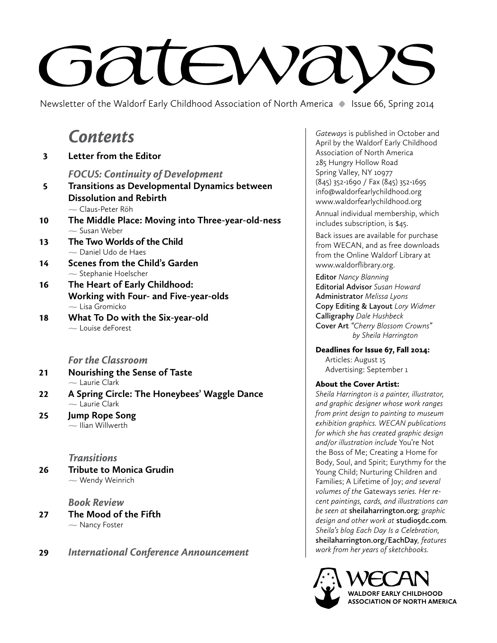# **GRIEWAY**

Newsletter of the Waldorf Early Childhood Association of North America **•** Issue 66, Spring 2014

## *Contents*

 3 **Letter from the Editor**  *FOCUS: Continuity of Development* 5 **Transitions as Developmental Dynamics between Dissolution and Rebirth** Claus-Peter Röh 10 **The Middle Place: Moving into Three-year-old-ness**  $\sim$  Susan Weber 13 **The Two Worlds of the Child**  Daniel Udo de Haes 14 **Scenes from the Child's Garden**  $\sim$  Stephanie Hoelscher 16 **The Heart of Early Childhood: Working with Four- and Five-year-olds**  $\sim$  Lisa Gromicko 18 **What To Do with the Six-year-old**  $\sim$  Louise deForest

#### *For the Classroom*

- 21 **Nourishing the Sense of Taste**  $-$  Laurie Clark
- 22 **A Spring Circle: The Honeybees' Waggle Dance**  $\sim$  Laurie Clark
- 25 **Jump Rope Song**  $\sim$  Ilian Willwerth

#### *Transitions*

26 **Tribute to Monica Grudin** Wendy Weinrich

#### *Book Review*

- 27 **The Mood of the Fifth**  $\sim$  Nancy Foster
- 29 *International Conference Announcement*

*Gateways* is published in October and April by the Waldorf Early Childhood Association of North America 285 Hungry Hollow Road Spring Valley, NY 10977 (845) 352-1690 / Fax (845) 352-1695 info@waldorfearlychildhood.org www.waldorfearlychildhood.org

Annual individual membership, which includes subscription, is \$45.

Back issues are available for purchase from WECAN, and as free downloads from the Online Waldorf Library at www.waldorflibrary.org.

**Editor** *Nancy Blanning* **Editorial Advisor** *Susan Howard*  **Administrator** *Melissa Lyons* **Copy Editing & Layout** *Lory Widmer* **Calligraphy** *Dale Hushbeck*  **Cover Art** *"Cherry Blossom Crowns" by Sheila Harrington*

Deadlines for Issue 67, Fall 2014: Articles: August 15 Advertising: September 1

#### About the Cover Artist:

*Sheila Harrington is a painter, illustrator, and graphic designer whose work ranges from print design to painting to museum exhibition graphics. WECAN publications for which she has created graphic design and/or illustration include* You're Not the Boss of Me; Creating a Home for Body, Soul, and Spirit; Eurythmy for the Young Child; Nurturing Children and Families; A Lifetime of Joy; *and several volumes of the* Gateways *series. Her recent paintings, cards, and illustrations can be seen at* **sheilaharrington.org***; graphic design and other work at* **studio5dc.com***. Sheila's blog Each Day Is a Celebration,*  **sheilaharrington.org/EachDay***, features work from her years of sketchbooks.*

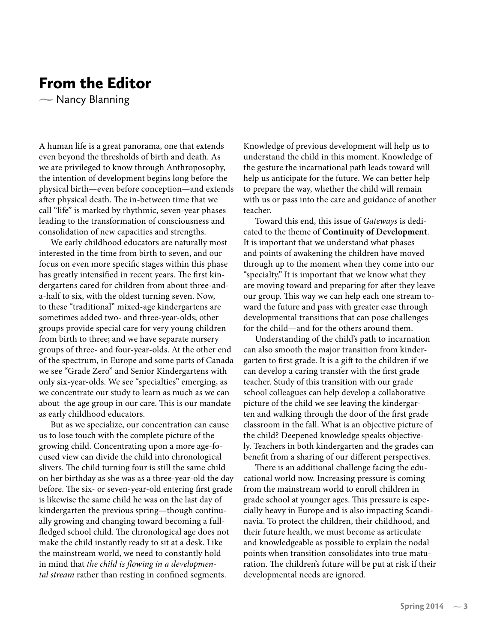## From the Editor

 $\sim$  Nancy Blanning

A human life is a great panorama, one that extends even beyond the thresholds of birth and death. As we are privileged to know through Anthroposophy, the intention of development begins long before the physical birth—even before conception—and extends after physical death. The in-between time that we call "life" is marked by rhythmic, seven-year phases leading to the transformation of consciousness and consolidation of new capacities and strengths.

We early childhood educators are naturally most interested in the time from birth to seven, and our focus on even more specific stages within this phase has greatly intensified in recent years. The first kindergartens cared for children from about three-anda-half to six, with the oldest turning seven. Now, to these "traditional" mixed-age kindergartens are sometimes added two- and three-year-olds; other groups provide special care for very young children from birth to three; and we have separate nursery groups of three- and four-year-olds. At the other end of the spectrum, in Europe and some parts of Canada we see "Grade Zero" and Senior Kindergartens with only six-year-olds. We see "specialties" emerging, as we concentrate our study to learn as much as we can about the age group in our care. This is our mandate as early childhood educators.

But as we specialize, our concentration can cause us to lose touch with the complete picture of the growing child. Concentrating upon a more age-focused view can divide the child into chronological slivers. The child turning four is still the same child on her birthday as she was as a three-year-old the day before. The six- or seven-year-old entering first grade is likewise the same child he was on the last day of kindergarten the previous spring—though continually growing and changing toward becoming a fullfledged school child. The chronological age does not make the child instantly ready to sit at a desk. Like the mainstream world, we need to constantly hold in mind that *the child is flowing in a developmental stream* rather than resting in confined segments.

Knowledge of previous development will help us to understand the child in this moment. Knowledge of the gesture the incarnational path leads toward will help us anticipate for the future. We can better help to prepare the way, whether the child will remain with us or pass into the care and guidance of another teacher.

Toward this end, this issue of *Gateways* is dedicated to the theme of **Continuity of Development**. It is important that we understand what phases and points of awakening the children have moved through up to the moment when they come into our "specialty." It is important that we know what they are moving toward and preparing for after they leave our group. This way we can help each one stream toward the future and pass with greater ease through developmental transitions that can pose challenges for the child—and for the others around them.

Understanding of the child's path to incarnation can also smooth the major transition from kindergarten to first grade. It is a gift to the children if we can develop a caring transfer with the first grade teacher. Study of this transition with our grade school colleagues can help develop a collaborative picture of the child we see leaving the kindergarten and walking through the door of the first grade classroom in the fall. What is an objective picture of the child? Deepened knowledge speaks objectively. Teachers in both kindergarten and the grades can benefit from a sharing of our different perspectives.

There is an additional challenge facing the educational world now. Increasing pressure is coming from the mainstream world to enroll children in grade school at younger ages. This pressure is especially heavy in Europe and is also impacting Scandinavia. To protect the children, their childhood, and their future health, we must become as articulate and knowledgeable as possible to explain the nodal points when transition consolidates into true maturation. The children's future will be put at risk if their developmental needs are ignored.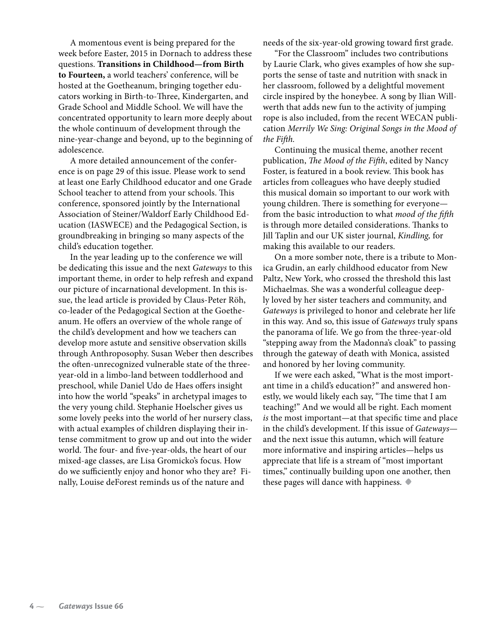A momentous event is being prepared for the week before Easter, 2015 in Dornach to address these questions. **Transitions in Childhood—from Birth to Fourteen,** a world teachers' conference, will be hosted at the Goetheanum, bringing together educators working in Birth-to-Three, Kindergarten, and Grade School and Middle School. We will have the concentrated opportunity to learn more deeply about the whole continuum of development through the nine-year-change and beyond, up to the beginning of adolescence.

A more detailed announcement of the conference is on page 29 of this issue. Please work to send at least one Early Childhood educator and one Grade School teacher to attend from your schools. This conference, sponsored jointly by the International Association of Steiner/Waldorf Early Childhood Education (IASWECE) and the Pedagogical Section, is groundbreaking in bringing so many aspects of the child's education together.

In the year leading up to the conference we will be dedicating this issue and the next *Gateways* to this important theme, in order to help refresh and expand our picture of incarnational development. In this issue, the lead article is provided by Claus-Peter Röh, co-leader of the Pedagogical Section at the Goetheanum. He offers an overview of the whole range of the child's development and how we teachers can develop more astute and sensitive observation skills through Anthroposophy. Susan Weber then describes the often-unrecognized vulnerable state of the threeyear-old in a limbo-land between toddlerhood and preschool, while Daniel Udo de Haes offers insight into how the world "speaks" in archetypal images to the very young child. Stephanie Hoelscher gives us some lovely peeks into the world of her nursery class, with actual examples of children displaying their intense commitment to grow up and out into the wider world. The four- and five-year-olds, the heart of our mixed-age classes, are Lisa Gromicko's focus. How do we sufficiently enjoy and honor who they are? Finally, Louise deForest reminds us of the nature and

needs of the six-year-old growing toward first grade.

"For the Classroom" includes two contributions by Laurie Clark, who gives examples of how she supports the sense of taste and nutrition with snack in her classroom, followed by a delightful movement circle inspired by the honeybee. A song by Ilian Willwerth that adds new fun to the activity of jumping rope is also included, from the recent WECAN publication *Merrily We Sing: Original Songs in the Mood of the Fifth.* 

Continuing the musical theme, another recent publication, *The Mood of the Fifth*, edited by Nancy Foster, is featured in a book review. This book has articles from colleagues who have deeply studied this musical domain so important to our work with young children. There is something for everyone from the basic introduction to what *mood of the fifth* is through more detailed considerations. Thanks to Jill Taplin and our UK sister journal, *Kindling,* for making this available to our readers.

On a more somber note, there is a tribute to Monica Grudin, an early childhood educator from New Paltz, New York, who crossed the threshold this last Michaelmas. She was a wonderful colleague deeply loved by her sister teachers and community, and *Gateways* is privileged to honor and celebrate her life in this way. And so, this issue of *Gateways* truly spans the panorama of life. We go from the three-year-old "stepping away from the Madonna's cloak" to passing through the gateway of death with Monica, assisted and honored by her loving community.

If we were each asked, "What is the most important time in a child's education?" and answered honestly, we would likely each say, "The time that I am teaching!" And we would all be right. Each moment *is* the most important—at that specific time and place in the child's development. If this issue of *Gateways* and the next issue this autumn, which will feature more informative and inspiring articles—helps us appreciate that life is a stream of "most important times," continually building upon one another, then these pages will dance with happiness. **•**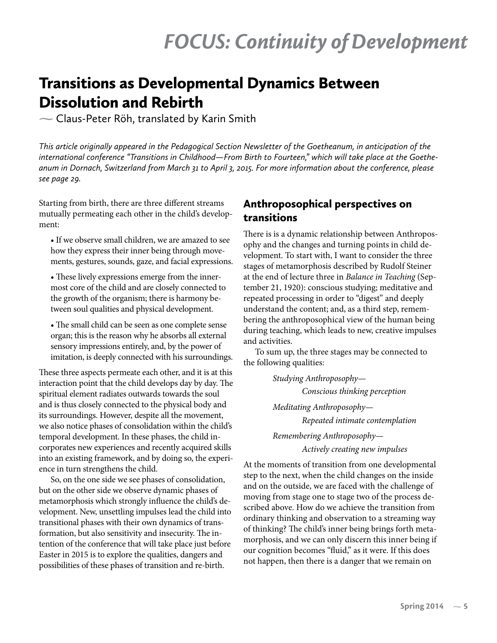## Transitions as Developmental Dynamics Between Dissolution and Rebirth

Claus-Peter Röh, translated by Karin Smith

*This article originally appeared in the Pedagogical Section Newsletter of the Goetheanum, in anticipation of the international conference "Transitions in Childhood—From Birth to Fourteen," which will take place at the Goetheanum in Dornach, Switzerland from March 31 to April 3, 2015. For more information about the conference, please see page 29.*

Starting from birth, there are three different streams mutually permeating each other in the child's development:

• If we observe small children, we are amazed to see how they express their inner being through movements, gestures, sounds, gaze, and facial expressions.

• These lively expressions emerge from the innermost core of the child and are closely connected to the growth of the organism; there is harmony between soul qualities and physical development.

• The small child can be seen as one complete sense organ; this is the reason why he absorbs all external sensory impressions entirely, and, by the power of imitation, is deeply connected with his surroundings.

These three aspects permeate each other, and it is at this interaction point that the child develops day by day. The spiritual element radiates outwards towards the soul and is thus closely connected to the physical body and its surroundings. However, despite all the movement, we also notice phases of consolidation within the child's temporal development. In these phases, the child incorporates new experiences and recently acquired skills into an existing framework, and by doing so, the experience in turn strengthens the child.

So, on the one side we see phases of consolidation, but on the other side we observe dynamic phases of metamorphosis which strongly influence the child's development. New, unsettling impulses lead the child into transitional phases with their own dynamics of transformation, but also sensitivity and insecurity. The intention of the conference that will take place just before Easter in 2015 is to explore the qualities, dangers and possibilities of these phases of transition and re-birth.

## Anthroposophical perspectives on transitions

There is is a dynamic relationship between Anthroposophy and the changes and turning points in child development. To start with, I want to consider the three stages of metamorphosis described by Rudolf Steiner at the end of lecture three in *Balance in Teaching* (September 21, 1920): conscious studying; meditative and repeated processing in order to "digest" and deeply understand the content; and, as a third step, remembering the anthroposophical view of the human being during teaching, which leads to new, creative impulses and activities.

To sum up, the three stages may be connected to the following qualities:

> *Studying Anthroposophy— Conscious thinking perception Meditating Anthroposophy— Repeated intimate contemplation Remembering Anthroposophy— Actively creating new impulses*

At the moments of transition from one developmental step to the next, when the child changes on the inside and on the outside, we are faced with the challenge of moving from stage one to stage two of the process described above. How do we achieve the transition from ordinary thinking and observation to a streaming way of thinking? The child's inner being brings forth metamorphosis, and we can only discern this inner being if our cognition becomes "fluid," as it were. If this does not happen, then there is a danger that we remain on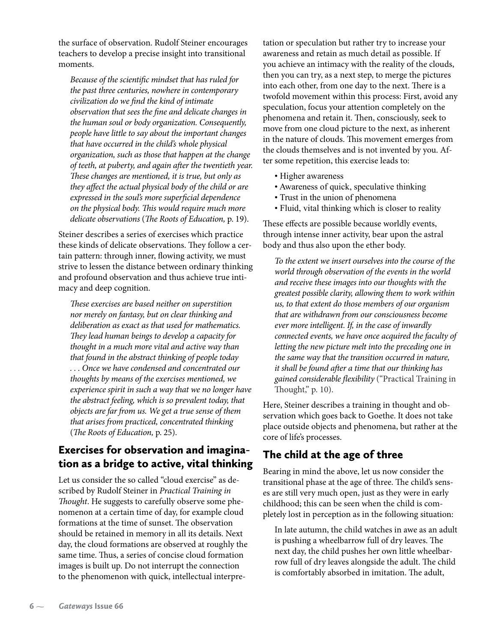the surface of observation. Rudolf Steiner encourages teachers to develop a precise insight into transitional moments.

*Because of the scientific mindset that has ruled for the past three centuries, nowhere in contemporary civilization do we find the kind of intimate observation that sees the fine and delicate changes in the human soul or body organization. Consequently, people have little to say about the important changes that have occurred in the child's whole physical organization, such as those that happen at the change of teeth, at puberty, and again after the twentieth year. These changes are mentioned, it is true, but only as they affect the actual physical body of the child or are expressed in the soul's more superficial dependence on the physical body. This would require much more delicate observations* (*The Roots of Education,* p. 19).

Steiner describes a series of exercises which practice these kinds of delicate observations. They follow a certain pattern: through inner, flowing activity, we must strive to lessen the distance between ordinary thinking and profound observation and thus achieve true intimacy and deep cognition.

*These exercises are based neither on superstition nor merely on fantasy, but on clear thinking and deliberation as exact as that used for mathematics. They lead human beings to develop a capacity for thought in a much more vital and active way than that found in the abstract thinking of people today . . . Once we have condensed and concentrated our thoughts by means of the exercises mentioned, we experience spirit in such a way that we no longer have the abstract feeling, which is so prevalent today, that objects are far from us. We get a true sense of them that arises from practiced, concentrated thinking*  (*The Roots of Education,* p. 25).

## Exercises for observation and imagination as a bridge to active, vital thinking

Let us consider the so called "cloud exercise" as described by Rudolf Steiner in *Practical Training in Thought*. He suggests to carefully observe some phenomenon at a certain time of day, for example cloud formations at the time of sunset. The observation should be retained in memory in all its details. Next day, the cloud formations are observed at roughly the same time. Thus, a series of concise cloud formation images is built up. Do not interrupt the connection to the phenomenon with quick, intellectual interpretation or speculation but rather try to increase your awareness and retain as much detail as possible. If you achieve an intimacy with the reality of the clouds, then you can try, as a next step, to merge the pictures into each other, from one day to the next. There is a twofold movement within this process: First, avoid any speculation, focus your attention completely on the phenomena and retain it. Then, consciously, seek to move from one cloud picture to the next, as inherent in the nature of clouds. This movement emerges from the clouds themselves and is not invented by you. After some repetition, this exercise leads to:

- Higher awareness
- Awareness of quick, speculative thinking
- Trust in the union of phenomena
- Fluid, vital thinking which is closer to reality

These effects are possible because worldly events, through intense inner activity, bear upon the astral body and thus also upon the ether body.

*To the extent we insert ourselves into the course of the world through observation of the events in the world and receive these images into our thoughts with the greatest possible clarity, allowing them to work within us, to that extent do those members of our organism that are withdrawn from our consciousness become ever more intelligent. If, in the case of inwardly connected events, we have once acquired the faculty of letting the new picture melt into the preceding one in the same way that the transition occurred in nature, it shall be found after a time that our thinking has gained considerable flexibility* ("Practical Training in Thought," p. 10).

Here, Steiner describes a training in thought and observation which goes back to Goethe. It does not take place outside objects and phenomena, but rather at the core of life's processes.

## The child at the age of three

Bearing in mind the above, let us now consider the transitional phase at the age of three. The child's senses are still very much open, just as they were in early childhood; this can be seen when the child is completely lost in perception as in the following situation:

In late autumn, the child watches in awe as an adult is pushing a wheelbarrow full of dry leaves. The next day, the child pushes her own little wheelbarrow full of dry leaves alongside the adult. The child is comfortably absorbed in imitation. The adult,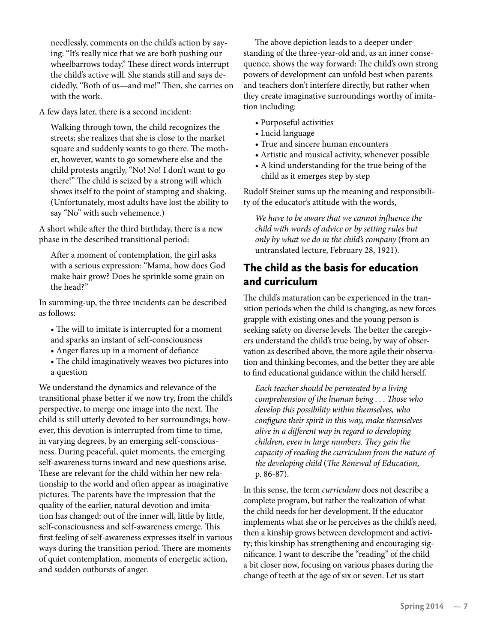needlessly, comments on the child's action by saying: "It's really nice that we are both pushing our wheelbarrows today." These direct words interrupt the child's active will. She stands still and says decidedly, "Both of us—and me!" Then, she carries on with the work.

A few days later, there is a second incident:

Walking through town, the child recognizes the streets; she realizes that she is close to the market square and suddenly wants to go there. The mother, however, wants to go somewhere else and the child protests angrily, "No! No! I don't want to go there!" The child is seized by a strong will which shows itself to the point of stamping and shaking. (Unfortunately, most adults have lost the ability to say "No" with such vehemence.)

A short while after the third birthday, there is a new phase in the described transitional period:

After a moment of contemplation, the girl asks with a serious expression: "Mama, how does God make hair grow? Does he sprinkle some grain on the head?"

In summing-up, the three incidents can be described as follows:

- The will to imitate is interrupted for a moment and sparks an instant of self-consciousness
- Anger flares up in a moment of defiance
- The child imaginatively weaves two pictures into a question

We understand the dynamics and relevance of the transitional phase better if we now try, from the child's perspective, to merge one image into the next. The child is still utterly devoted to her surroundings; however, this devotion is interrupted from time to time, in varying degrees, by an emerging self-consciousness. During peaceful, quiet moments, the emerging self-awareness turns inward and new questions arise. These are relevant for the child within her new relationship to the world and often appear as imaginative pictures. The parents have the impression that the quality of the earlier, natural devotion and imitation has changed: out of the inner will, little by little, self-consciousness and self-awareness emerge. This first feeling of self-awareness expresses itself in various ways during the transition period. There are moments of quiet contemplation, moments of energetic action, and sudden outbursts of anger.

The above depiction leads to a deeper understanding of the three-year-old and, as an inner consequence, shows the way forward: The child's own strong powers of development can unfold best when parents and teachers don't interfere directly, but rather when they create imaginative surroundings worthy of imitation including:

- Purposeful activities
- Lucid language
- True and sincere human encounters
- Artistic and musical activity, whenever possible
- A kind understanding for the true being of the child as it emerges step by step

Rudolf Steiner sums up the meaning and responsibility of the educator's attitude with the words,

*We have to be aware that we cannot influence the child with words of advice or by setting rules but only by what we do in the child's company* (from an untranslated lecture, February 28, 1921)*.*

## The child as the basis for education and curriculum

The child's maturation can be experienced in the transition periods when the child is changing, as new forces grapple with existing ones and the young person is seeking safety on diverse levels. The better the caregivers understand the child's true being, by way of observation as described above, the more agile their observation and thinking becomes, and the better they are able to find educational guidance within the child herself.

*Each teacher should be permeated by a living comprehension of the human being . . . Those who develop this possibility within themselves, who configure their spirit in this way, make themselves alive in a different way in regard to developing children, even in large numbers. They gain the capacity of reading the curriculum from the nature of the developing child* (*The Renewal of Education,*  p. 86-87).

In this sense, the term *curriculum* does not describe a complete program, but rather the realization of what the child needs for her development. If the educator implements what she or he perceives as the child's need, then a kinship grows between development and activity; this kinship has strengthening and encouraging significance. I want to describe the "reading" of the child a bit closer now, focusing on various phases during the change of teeth at the age of six or seven. Let us start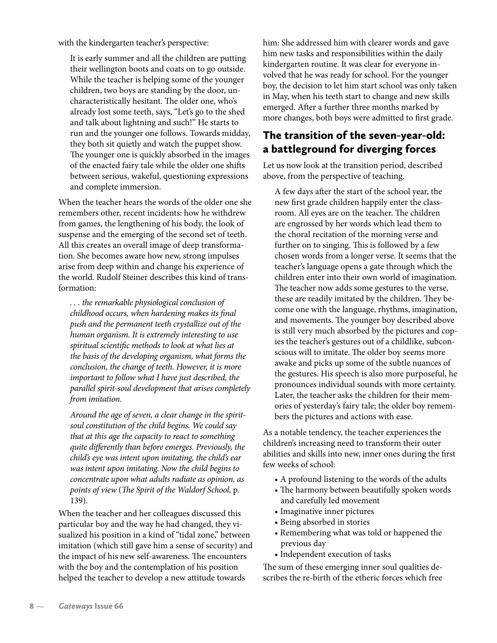with the kindergarten teacher's perspective:

It is early summer and all the children are putting their wellington boots and coats on to go outside. While the teacher is helping some of the younger children, two boys are standing by the door, uncharacteristically hesitant. The older one, who's already lost some teeth, says, "Let's go to the shed and talk about lightning and such!" He starts to run and the younger one follows. Towards midday, they both sit quietly and watch the puppet show. The younger one is quickly absorbed in the images of the enacted fairy tale while the older one shifts between serious, wakeful, questioning expressions and complete immersion.

When the teacher hears the words of the older one she remembers other, recent incidents: how he withdrew from games, the lengthening of his body, the look of suspense and the emerging of the second set of teeth. All this creates an overall image of deep transformation. She becomes aware how new, strong impulses arise from deep within and change his experience of the world. Rudolf Steiner describes this kind of transformation:

*. . . the remarkable physiological conclusion of childhood occurs, when hardening makes its final push and the permanent teeth crystallize out of the human organism. It is extremely interesting to use spiritual scientific methods to look at what lies at the basis of the developing organism, what forms the conclusion, the change of teeth. However, it is more important to follow what I have just described, the parallel spirit-soul development that arises completely from imitation.* 

*Around the age of seven, a clear change in the spiritsoul constitution of the child begins. We could say that at this age the capacity to react to something quite differently than before emerges. Previously, the child's eye was intent upon imitating, the child's ear was intent upon imitating. Now the child begins to concentrate upon what adults radiate as opinion, as points of view* (*The Spirit of the Waldorf School,* p. 139).

When the teacher and her colleagues discussed this particular boy and the way he had changed, they visualized his position in a kind of "tidal zone," between imitation (which still gave him a sense of security) and the impact of his new self-awareness. The encounters with the boy and the contemplation of his position helped the teacher to develop a new attitude towards

him: She addressed him with clearer words and gave him new tasks and responsibilities within the daily kindergarten routine. It was clear for everyone involved that he was ready for school. For the younger boy, the decision to let him start school was only taken in May, when his teeth start to change and new skills emerged. After a further three months marked by more changes, both boys were admitted to first grade.

## The transition of the seven-year-old: a battleground for diverging forces

Let us now look at the transition period, described above, from the perspective of teaching.

A few days after the start of the school year, the new first grade children happily enter the classroom. All eyes are on the teacher. The children are engrossed by her words which lead them to the choral recitation of the morning verse and further on to singing. This is followed by a few chosen words from a longer verse. It seems that the teacher's language opens a gate through which the children enter into their own world of imagination. The teacher now adds some gestures to the verse, these are readily imitated by the children. They become one with the language, rhythms, imagination, and movements. The younger boy described above is still very much absorbed by the pictures and copies the teacher's gestures out of a childlike, subconscious will to imitate. The older boy seems more awake and picks up some of the subtle nuances of the gestures. His speech is also more purposeful, he pronounces individual sounds with more certainty. Later, the teacher asks the children for their memories of yesterday's fairy tale; the older boy remembers the pictures and actions with ease.

As a notable tendency, the teacher experiences the children's increasing need to transform their outer abilities and skills into new, inner ones during the first few weeks of school:

- A profound listening to the words of the adults
- The harmony between beautifully spoken words and carefully led movement
- Imaginative inner pictures
- Being absorbed in stories
- Remembering what was told or happened the previous day
- Independent execution of tasks

The sum of these emerging inner soul qualities describes the re-birth of the etheric forces which free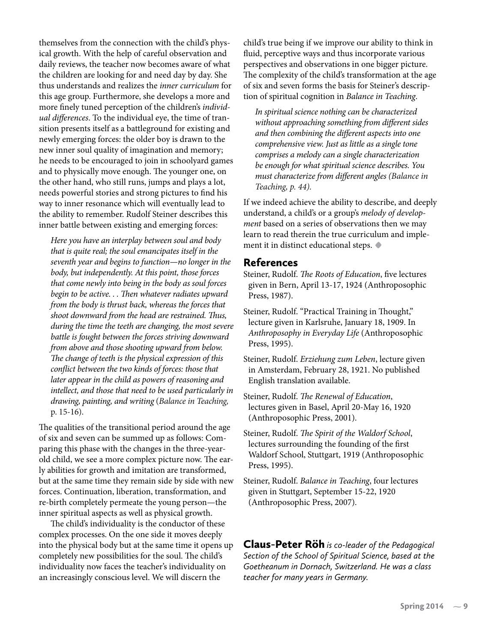themselves from the connection with the child's physical growth. With the help of careful observation and daily reviews, the teacher now becomes aware of what the children are looking for and need day by day. She thus understands and realizes the *inner curriculum* for this age group. Furthermore, she develops a more and more finely tuned perception of the children's *individual differences*. To the individual eye, the time of transition presents itself as a battleground for existing and newly emerging forces: the older boy is drawn to the new inner soul quality of imagination and memory; he needs to be encouraged to join in schoolyard games and to physically move enough. The younger one, on the other hand, who still runs, jumps and plays a lot, needs powerful stories and strong pictures to find his way to inner resonance which will eventually lead to the ability to remember. Rudolf Steiner describes this inner battle between existing and emerging forces:

*Here you have an interplay between soul and body that is quite real; the soul emancipates itself in the seventh year and begins to function—no longer in the body, but independently. At this point, those forces that come newly into being in the body as soul forces begin to be active. . . Then whatever radiates upward from the body is thrust back, whereas the forces that shoot downward from the head are restrained. Thus, during the time the teeth are changing, the most severe battle is fought between the forces striving downward from above and those shooting upward from below. The change of teeth is the physical expression of this conflict between the two kinds of forces: those that later appear in the child as powers of reasoning and intellect, and those that need to be used particularly in drawing, painting, and writing* (*Balance in Teaching,*  p. 15-16).

The qualities of the transitional period around the age of six and seven can be summed up as follows: Comparing this phase with the changes in the three-yearold child, we see a more complex picture now. The early abilities for growth and imitation are transformed, but at the same time they remain side by side with new forces. Continuation, liberation, transformation, and re-birth completely permeate the young person—the inner spiritual aspects as well as physical growth.

The child's individuality is the conductor of these complex processes. On the one side it moves deeply into the physical body but at the same time it opens up completely new possibilities for the soul. The child's individuality now faces the teacher's individuality on an increasingly conscious level. We will discern the

child's true being if we improve our ability to think in fluid, perceptive ways and thus incorporate various perspectives and observations in one bigger picture. The complexity of the child's transformation at the age of six and seven forms the basis for Steiner's description of spiritual cognition in *Balance in Teaching*.

*In spiritual science nothing can be characterized without approaching something from different sides and then combining the different aspects into one comprehensive view. Just as little as a single tone comprises a melody can a single characterization be enough for what spiritual science describes. You must characterize from different angles (Balance in Teaching, p. 44).*

If we indeed achieve the ability to describe, and deeply understand, a child's or a group's *melody of development* based on a series of observations then we may learn to read therein the true curriculum and implement it in distinct educational steps. **•**

#### References

- Steiner, Rudolf. *The Roots of Education*, five lectures given in Bern, April 13-17, 1924 (Anthroposophic Press, 1987).
- Steiner, Rudolf. "Practical Training in Thought," lecture given in Karlsruhe, January 18, 1909. In *Anthroposophy in Everyday Life* (Anthroposophic Press, 1995).
- Steiner, Rudolf. *Erziehung zum Leben*, lecture given in Amsterdam, February 28, 1921. No published English translation available.
- Steiner, Rudolf. *The Renewal of Education*, lectures given in Basel, April 20-May 16, 1920 (Anthroposophic Press, 2001).
- Steiner, Rudolf. *The Spirit of the Waldorf School*, lectures surrounding the founding of the first Waldorf School, Stuttgart, 1919 (Anthroposophic Press, 1995).
- Steiner, Rudolf. *Balance in Teaching*, four lectures given in Stuttgart, September 15-22, 1920 (Anthroposophic Press, 2007).

Claus-Peter Röh *is co-leader of the Pedagogical Section of the School of Spiritual Science, based at the Goetheanum in Dornach, Switzerland. He was a class teacher for many years in Germany.*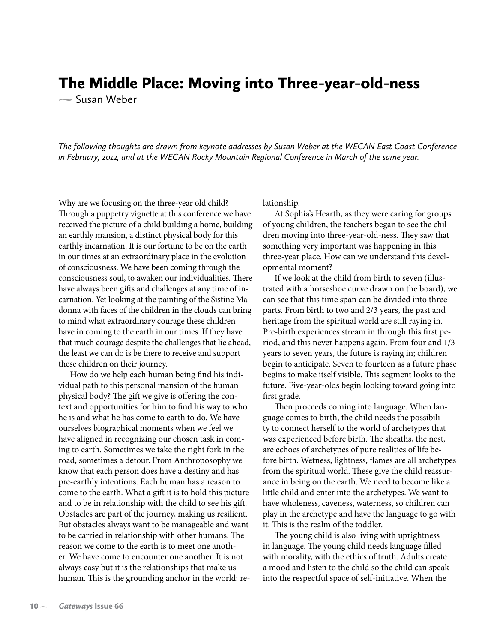## The Middle Place: Moving into Three-year-old-ness

 $\sim$  Susan Weber

*The following thoughts are drawn from keynote addresses by Susan Weber at the WECAN East Coast Conference in February, 2012, and at the WECAN Rocky Mountain Regional Conference in March of the same year.*

Why are we focusing on the three-year old child? Through a puppetry vignette at this conference we have received the picture of a child building a home, building an earthly mansion, a distinct physical body for this earthly incarnation. It is our fortune to be on the earth in our times at an extraordinary place in the evolution of consciousness. We have been coming through the consciousness soul, to awaken our individualities. There have always been gifts and challenges at any time of incarnation. Yet looking at the painting of the Sistine Madonna with faces of the children in the clouds can bring to mind what extraordinary courage these children have in coming to the earth in our times. If they have that much courage despite the challenges that lie ahead, the least we can do is be there to receive and support these children on their journey.

How do we help each human being find his individual path to this personal mansion of the human physical body? The gift we give is offering the context and opportunities for him to find his way to who he is and what he has come to earth to do. We have ourselves biographical moments when we feel we have aligned in recognizing our chosen task in coming to earth. Sometimes we take the right fork in the road, sometimes a detour. From Anthroposophy we know that each person does have a destiny and has pre-earthly intentions. Each human has a reason to come to the earth. What a gift it is to hold this picture and to be in relationship with the child to see his gift. Obstacles are part of the journey, making us resilient. But obstacles always want to be manageable and want to be carried in relationship with other humans. The reason we come to the earth is to meet one another. We have come to encounter one another. It is not always easy but it is the relationships that make us human. This is the grounding anchor in the world: relationship.

At Sophia's Hearth, as they were caring for groups of young children, the teachers began to see the children moving into three-year-old-ness. They saw that something very important was happening in this three-year place. How can we understand this developmental moment?

If we look at the child from birth to seven (illustrated with a horseshoe curve drawn on the board), we can see that this time span can be divided into three parts. From birth to two and 2/3 years, the past and heritage from the spiritual world are still raying in. Pre-birth experiences stream in through this first period, and this never happens again. From four and 1/3 years to seven years, the future is raying in; children begin to anticipate. Seven to fourteen as a future phase begins to make itself visible. This segment looks to the future. Five-year-olds begin looking toward going into first grade.

Then proceeds coming into language. When language comes to birth, the child needs the possibility to connect herself to the world of archetypes that was experienced before birth. The sheaths, the nest, are echoes of archetypes of pure realities of life before birth. Wetness, lightness, flames are all archetypes from the spiritual world. These give the child reassurance in being on the earth. We need to become like a little child and enter into the archetypes. We want to have wholeness, caveness, waterness, so children can play in the archetype and have the language to go with it. This is the realm of the toddler.

The young child is also living with uprightness in language. The young child needs language filled with morality, with the ethics of truth. Adults create a mood and listen to the child so the child can speak into the respectful space of self-initiative. When the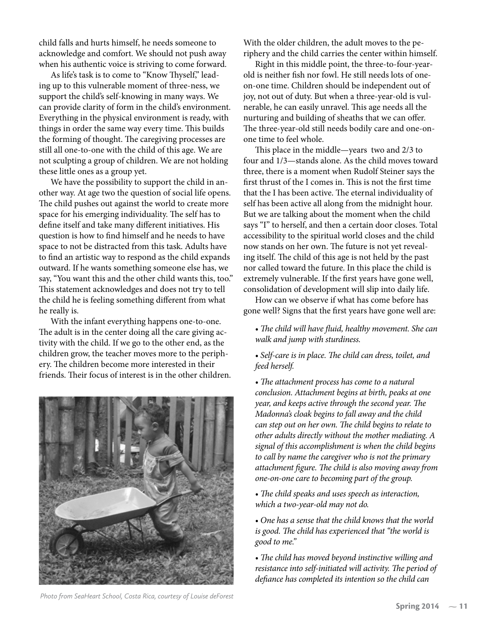child falls and hurts himself, he needs someone to acknowledge and comfort. We should not push away when his authentic voice is striving to come forward.

As life's task is to come to "Know Thyself," leading up to this vulnerable moment of three-ness, we support the child's self-knowing in many ways. We can provide clarity of form in the child's environment. Everything in the physical environment is ready, with things in order the same way every time. This builds the forming of thought. The caregiving processes are still all one-to-one with the child of this age. We are not sculpting a group of children. We are not holding these little ones as a group yet.

We have the possibility to support the child in another way. At age two the question of social life opens. The child pushes out against the world to create more space for his emerging individuality. The self has to define itself and take many different initiatives. His question is how to find himself and he needs to have space to not be distracted from this task. Adults have to find an artistic way to respond as the child expands outward. If he wants something someone else has, we say, "You want this and the other child wants this, too." This statement acknowledges and does not try to tell the child he is feeling something different from what he really is.

With the infant everything happens one-to-one. The adult is in the center doing all the care giving activity with the child. If we go to the other end, as the children grow, the teacher moves more to the periphery. The children become more interested in their friends. Their focus of interest is in the other children.



*Photo from SeaHeart School, Costa Rica, courtesy of Louise deForest*

With the older children, the adult moves to the periphery and the child carries the center within himself.

Right in this middle point, the three-to-four-yearold is neither fish nor fowl. He still needs lots of oneon-one time. Children should be independent out of joy, not out of duty. But when a three-year-old is vulnerable, he can easily unravel. This age needs all the nurturing and building of sheaths that we can offer. The three-year-old still needs bodily care and one-onone time to feel whole.

This place in the middle—years two and 2/3 to four and 1/3—stands alone. As the child moves toward three, there is a moment when Rudolf Steiner says the first thrust of the I comes in. This is not the first time that the I has been active. The eternal individuality of self has been active all along from the midnight hour. But we are talking about the moment when the child says "I" to herself, and then a certain door closes. Total accessibility to the spiritual world closes and the child now stands on her own. The future is not yet revealing itself. The child of this age is not held by the past nor called toward the future. In this place the child is extremely vulnerable. If the first years have gone well, consolidation of development will slip into daily life.

How can we observe if what has come before has gone well? Signs that the first years have gone well are:

- *The child will have fluid, healthy movement. She can walk and jump with sturdiness.*
- *Self-care is in place. The child can dress, toilet, and feed herself.*

*• The attachment process has come to a natural conclusion. Attachment begins at birth, peaks at one year, and keeps active through the second year. The Madonna's cloak begins to fall away and the child can step out on her own. The child begins to relate to other adults directly without the mother mediating. A signal of this accomplishment is when the child begins to call by name the caregiver who is not the primary attachment figure. The child is also moving away from one-on-one care to becoming part of the group.*

*• The child speaks and uses speech as interaction, which a two-year-old may not do.* 

*• One has a sense that the child knows that the world is good. The child has experienced that "the world is good to me."*

*• The child has moved beyond instinctive willing and resistance into self-initiated will activity. The period of defiance has completed its intention so the child can*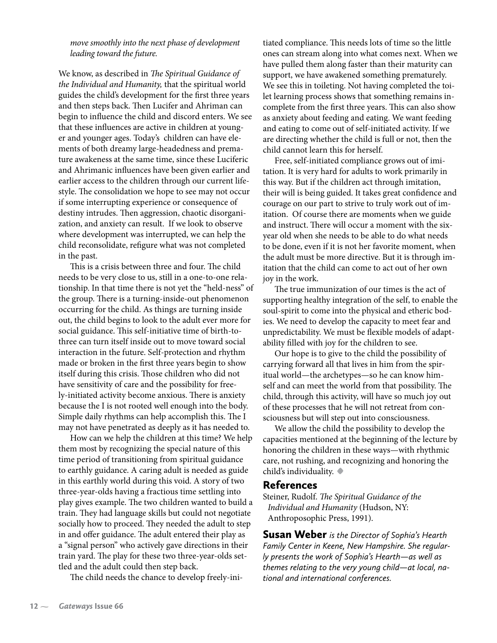*move smoothly into the next phase of development leading toward the future.*

We know, as described in *The Spiritual Guidance of the Individual and Humanity,* that the spiritual world guides the child's development for the first three years and then steps back. Then Lucifer and Ahriman can begin to influence the child and discord enters. We see that these influences are active in children at younger and younger ages. Today's children can have elements of both dreamy large-headedness and premature awakeness at the same time, since these Luciferic and Ahrimanic influences have been given earlier and earlier access to the children through our current lifestyle. The consolidation we hope to see may not occur if some interrupting experience or consequence of destiny intrudes. Then aggression, chaotic disorganization, and anxiety can result. If we look to observe where development was interrupted, we can help the child reconsolidate, refigure what was not completed in the past.

This is a crisis between three and four. The child needs to be very close to us, still in a one-to-one relationship. In that time there is not yet the "held-ness" of the group. There is a turning-inside-out phenomenon occurring for the child. As things are turning inside out, the child begins to look to the adult ever more for social guidance. This self-initiative time of birth-tothree can turn itself inside out to move toward social interaction in the future. Self-protection and rhythm made or broken in the first three years begin to show itself during this crisis. Those children who did not have sensitivity of care and the possibility for freely-initiated activity become anxious. There is anxiety because the I is not rooted well enough into the body. Simple daily rhythms can help accomplish this. The I may not have penetrated as deeply as it has needed to.

How can we help the children at this time? We help them most by recognizing the special nature of this time period of transitioning from spiritual guidance to earthly guidance. A caring adult is needed as guide in this earthly world during this void. A story of two three-year-olds having a fractious time settling into play gives example. The two children wanted to build a train. They had language skills but could not negotiate socially how to proceed. They needed the adult to step in and offer guidance. The adult entered their play as a "signal person" who actively gave directions in their train yard. The play for these two three-year-olds settled and the adult could then step back.

The child needs the chance to develop freely-ini-

tiated compliance. This needs lots of time so the little ones can stream along into what comes next. When we have pulled them along faster than their maturity can support, we have awakened something prematurely. We see this in toileting. Not having completed the toilet learning process shows that something remains incomplete from the first three years. This can also show as anxiety about feeding and eating. We want feeding and eating to come out of self-initiated activity. If we are directing whether the child is full or not, then the child cannot learn this for herself.

Free, self-initiated compliance grows out of imitation. It is very hard for adults to work primarily in this way. But if the children act through imitation, their will is being guided. It takes great confidence and courage on our part to strive to truly work out of imitation. Of course there are moments when we guide and instruct. There will occur a moment with the sixyear old when she needs to be able to do what needs to be done, even if it is not her favorite moment, when the adult must be more directive. But it is through imitation that the child can come to act out of her own joy in the work.

The true immunization of our times is the act of supporting healthy integration of the self, to enable the soul-spirit to come into the physical and etheric bodies. We need to develop the capacity to meet fear and unpredictability. We must be flexible models of adaptability filled with joy for the children to see.

Our hope is to give to the child the possibility of carrying forward all that lives in him from the spiritual world—the archetypes—so he can know himself and can meet the world from that possibility. The child, through this activity, will have so much joy out of these processes that he will not retreat from consciousness but will step out into consciousness.

We allow the child the possibility to develop the capacities mentioned at the beginning of the lecture by honoring the children in these ways—with rhythmic care, not rushing, and recognizing and honoring the child's individuality. **•**

#### References

Steiner, Rudolf. *The Spiritual Guidance of the Individual and Humanity* (Hudson, NY: Anthroposophic Press, 1991).

Susan Weber *is the Director of Sophia's Hearth Family Center in Keene, New Hampshire. She regularly presents the work of Sophia's Hearth—as well as themes relating to the very young child—at local, national and international conferences.*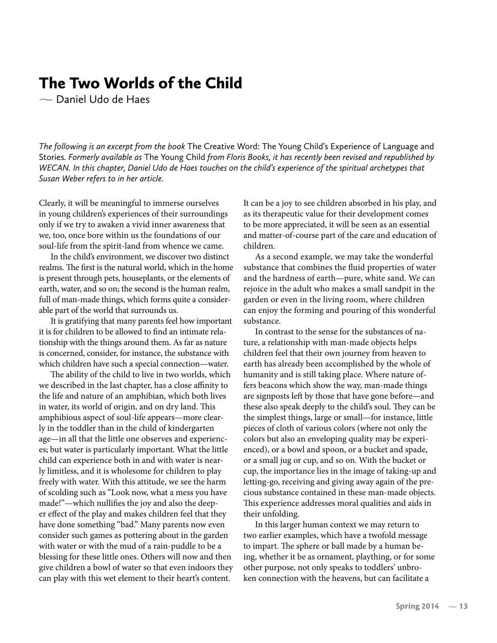## The Two Worlds of the Child

Daniel Udo de Haes

*The following is an excerpt from the book* The Creative Word: The Young Child's Experience of Language and Stories*. Formerly available as* The Young Child *from Floris Books, it has recently been revised and republished by WECAN. In this chapter, Daniel Udo de Haes touches on the child's experience of the spiritual archetypes that Susan Weber refers to in her article.*

Clearly, it will be meaningful to immerse ourselves in young children's experiences of their surroundings only if we try to awaken a vivid inner awareness that we, too, once bore within us the foundations of our soul-life from the spirit-land from whence we came.

In the child's environment, we discover two distinct realms. The first is the natural world, which in the home is present through pets, houseplants, or the elements of earth, water, and so on; the second is the human realm, full of man-made things, which forms quite a considerable part of the world that surrounds us.

It is gratifying that many parents feel how important it is for children to be allowed to find an intimate relationship with the things around them. As far as nature is concerned, consider, for instance, the substance with which children have such a special connection—water.

The ability of the child to live in two worlds, which we described in the last chapter, has a close affinity to the life and nature of an amphibian, which both lives in water, its world of origin, and on dry land. This amphibious aspect of soul-life appears—more clearly in the toddler than in the child of kindergarten age—in all that the little one observes and experiences; but water is particularly important. What the little child can experience both in and with water is nearly limitless, and it is wholesome for children to play freely with water. With this attitude, we see the harm of scolding such as "Look now, what a mess you have made!"—which nullifies the joy and also the deeper effect of the play and makes children feel that they have done something "bad." Many parents now even consider such games as pottering about in the garden with water or with the mud of a rain-puddle to be a blessing for these little ones. Others will now and then give children a bowl of water so that even indoors they can play with this wet element to their heart's content.

It can be a joy to see children absorbed in his play, and as its therapeutic value for their development comes to be more appreciated, it will be seen as an essential and matter-of-course part of the care and education of children.

As a second example, we may take the wonderful substance that combines the fluid properties of water and the hardness of earth—pure, white sand. We can rejoice in the adult who makes a small sandpit in the garden or even in the living room, where children can enjoy the forming and pouring of this wonderful substance.

In contrast to the sense for the substances of nature, a relationship with man-made objects helps children feel that their own journey from heaven to earth has already been accomplished by the whole of humanity and is still taking place. Where nature offers beacons which show the way, man-made things are signposts left by those that have gone before—and these also speak deeply to the child's soul. They can be the simplest things, large or small—for instance, little pieces of cloth of various colors (where not only the colors but also an enveloping quality may be experienced), or a bowl and spoon, or a bucket and spade, or a small jug or cup, and so on. With the bucket or cup, the importance lies in the image of taking-up and letting-go, receiving and giving away again of the precious substance contained in these man-made objects. This experience addresses moral qualities and aids in their unfolding.

In this larger human context we may return to two earlier examples, which have a twofold message to impart. The sphere or ball made by a human being, whether it be as ornament, plaything, or for some other purpose, not only speaks to toddlers' unbroken connection with the heavens, but can facilitate a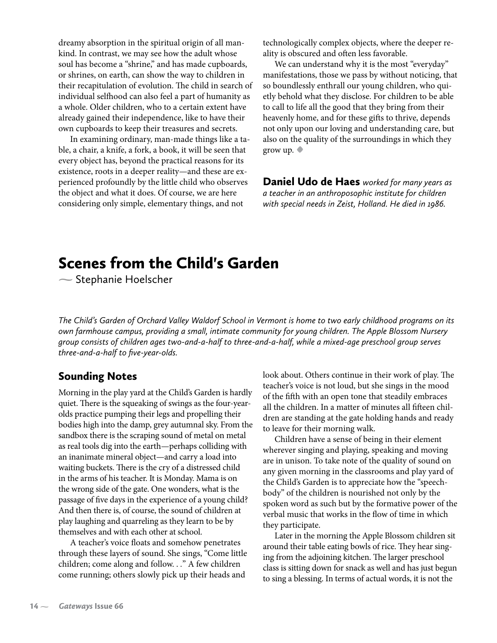dreamy absorption in the spiritual origin of all mankind. In contrast, we may see how the adult whose soul has become a "shrine," and has made cupboards, or shrines, on earth, can show the way to children in their recapitulation of evolution. The child in search of individual selfhood can also feel a part of humanity as a whole. Older children, who to a certain extent have already gained their independence, like to have their own cupboards to keep their treasures and secrets.

In examining ordinary, man-made things like a table, a chair, a knife, a fork, a book, it will be seen that every object has, beyond the practical reasons for its existence, roots in a deeper reality—and these are experienced profoundly by the little child who observes the object and what it does. Of course, we are here considering only simple, elementary things, and not

technologically complex objects, where the deeper reality is obscured and often less favorable.

We can understand why it is the most "everyday" manifestations, those we pass by without noticing, that so boundlessly enthrall our young children, who quietly behold what they disclose. For children to be able to call to life all the good that they bring from their heavenly home, and for these gifts to thrive, depends not only upon our loving and understanding care, but also on the quality of the surroundings in which they grow up. **•**

Daniel Udo de Haes *worked for many years as a teacher in an anthroposophic institute for children with special needs in Zeist, Holland. He died in 1986.*

## Scenes from the Child's Garden

 $\sim$  Stephanie Hoelscher

*The Child's Garden of Orchard Valley Waldorf School in Vermont is home to two early childhood programs on its own farmhouse campus, providing a small, intimate community for young children. The Apple Blossom Nursery group consists of children ages two-and-a-half to three-and-a-half, while a mixed-age preschool group serves three-and-a-half to five-year-olds.*

### Sounding Notes

Morning in the play yard at the Child's Garden is hardly quiet. There is the squeaking of swings as the four-yearolds practice pumping their legs and propelling their bodies high into the damp, grey autumnal sky. From the sandbox there is the scraping sound of metal on metal as real tools dig into the earth—perhaps colliding with an inanimate mineral object—and carry a load into waiting buckets. There is the cry of a distressed child in the arms of his teacher. It is Monday. Mama is on the wrong side of the gate. One wonders, what is the passage of five days in the experience of a young child? And then there is, of course, the sound of children at play laughing and quarreling as they learn to be by themselves and with each other at school.

A teacher's voice floats and somehow penetrates through these layers of sound. She sings, "Come little children; come along and follow. . *.*" A few children come running; others slowly pick up their heads and

look about. Others continue in their work of play. The teacher's voice is not loud, but she sings in the mood of the fifth with an open tone that steadily embraces all the children. In a matter of minutes all fifteen children are standing at the gate holding hands and ready to leave for their morning walk.

Children have a sense of being in their element wherever singing and playing, speaking and moving are in unison. To take note of the quality of sound on any given morning in the classrooms and play yard of the Child's Garden is to appreciate how the "speechbody" of the children is nourished not only by the spoken word as such but by the formative power of the verbal music that works in the flow of time in which they participate.

Later in the morning the Apple Blossom children sit around their table eating bowls of rice. They hear singing from the adjoining kitchen. The larger preschool class is sitting down for snack as well and has just begun to sing a blessing. In terms of actual words, it is not the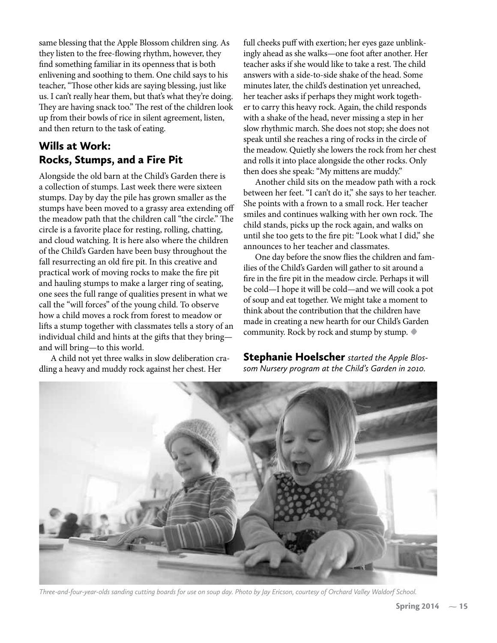same blessing that the Apple Blossom children sing. As they listen to the free-flowing rhythm, however, they find something familiar in its openness that is both enlivening and soothing to them. One child says to his teacher, "Those other kids are saying blessing, just like us. I can't really hear them, but that's what they're doing. They are having snack too." The rest of the children look up from their bowls of rice in silent agreement, listen, and then return to the task of eating.

## Wills at Work: Rocks, Stumps, and a Fire Pit

Alongside the old barn at the Child's Garden there is a collection of stumps. Last week there were sixteen stumps. Day by day the pile has grown smaller as the stumps have been moved to a grassy area extending off the meadow path that the children call "the circle." The circle is a favorite place for resting, rolling, chatting, and cloud watching. It is here also where the children of the Child's Garden have been busy throughout the fall resurrecting an old fire pit. In this creative and practical work of moving rocks to make the fire pit and hauling stumps to make a larger ring of seating, one sees the full range of qualities present in what we call the "will forces" of the young child. To observe how a child moves a rock from forest to meadow or lifts a stump together with classmates tells a story of an individual child and hints at the gifts that they bring and will bring—to this world.

A child not yet three walks in slow deliberation cradling a heavy and muddy rock against her chest. Her

full cheeks puff with exertion; her eyes gaze unblinkingly ahead as she walks—one foot after another. Her teacher asks if she would like to take a rest. The child answers with a side-to-side shake of the head. Some minutes later, the child's destination yet unreached, her teacher asks if perhaps they might work together to carry this heavy rock. Again, the child responds with a shake of the head, never missing a step in her slow rhythmic march. She does not stop; she does not speak until she reaches a ring of rocks in the circle of the meadow. Quietly she lowers the rock from her chest and rolls it into place alongside the other rocks. Only then does she speak: "My mittens are muddy."

Another child sits on the meadow path with a rock between her feet. "I can't do it," she says to her teacher. She points with a frown to a small rock. Her teacher smiles and continues walking with her own rock. The child stands, picks up the rock again, and walks on until she too gets to the fire pit: "Look what I did," she announces to her teacher and classmates.

One day before the snow flies the children and families of the Child's Garden will gather to sit around a fire in the fire pit in the meadow circle. Perhaps it will be cold—I hope it will be cold—and we will cook a pot of soup and eat together. We might take a moment to think about the contribution that the children have made in creating a new hearth for our Child's Garden community. Rock by rock and stump by stump. **•**

Stephanie Hoelscher *started the Apple Blossom Nursery program at the Child's Garden in 2010.* 



*Three-and-four-year-olds sanding cutting boards for use on soup day. Photo by Jay Ericson, courtesy of Orchard Valley Waldorf School.*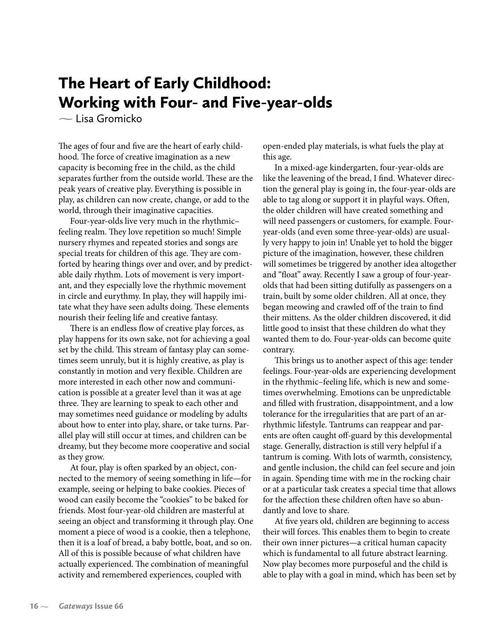## The Heart of Early Childhood: Working with Four- and Five-year-olds

 $\sim$  Lisa Gromicko

The ages of four and five are the heart of early childhood. The force of creative imagination as a new capacity is becoming free in the child, as the child separates further from the outside world. These are the peak years of creative play. Everything is possible in play, as children can now create, change, or add to the world, through their imaginative capacities.

Four-year-olds live very much in the rhythmic– feeling realm. They love repetition so much! Simple nursery rhymes and repeated stories and songs are special treats for children of this age. They are comforted by hearing things over and over, and by predictable daily rhythm. Lots of movement is very important, and they especially love the rhythmic movement in circle and eurythmy. In play, they will happily imitate what they have seen adults doing. These elements nourish their feeling life and creative fantasy.

There is an endless flow of creative play forces, as play happens for its own sake, not for achieving a goal set by the child. This stream of fantasy play can sometimes seem unruly, but it is highly creative, as play is constantly in motion and very flexible. Children are more interested in each other now and communication is possible at a greater level than it was at age three. They are learning to speak to each other and may sometimes need guidance or modeling by adults about how to enter into play, share, or take turns. Parallel play will still occur at times, and children can be dreamy, but they become more cooperative and social as they grow.

At four, play is often sparked by an object, connected to the memory of seeing something in life—for example, seeing or helping to bake cookies. Pieces of wood can easily become the "cookies" to be baked for friends. Most four-year-old children are masterful at seeing an object and transforming it through play. One moment a piece of wood is a cookie, then a telephone, then it is a loaf of bread, a baby bottle, boat, and so on. All of this is possible because of what children have actually experienced. The combination of meaningful activity and remembered experiences, coupled with

open-ended play materials, is what fuels the play at this age.

In a mixed-age kindergarten, four-year-olds are like the leavening of the bread, I find. Whatever direction the general play is going in, the four-year-olds are able to tag along or support it in playful ways. Often, the older children will have created something and will need passengers or customers, for example. Fouryear-olds (and even some three-year-olds) are usually very happy to join in! Unable yet to hold the bigger picture of the imagination, however, these children will sometimes be triggered by another idea altogether and "float" away. Recently I saw a group of four-yearolds that had been sitting dutifully as passengers on a train, built by some older children. All at once, they began meowing and crawled off of the train to find their mittens. As the older children discovered, it did little good to insist that these children do what they wanted them to do. Four-year-olds can become quite contrary.

This brings us to another aspect of this age: tender feelings. Four-year-olds are experiencing development in the rhythmic–feeling life, which is new and sometimes overwhelming. Emotions can be unpredictable and filled with frustration, disappointment, and a low tolerance for the irregularities that are part of an arrhythmic lifestyle. Tantrums can reappear and parents are often caught off-guard by this developmental stage. Generally, distraction is still very helpful if a tantrum is coming. With lots of warmth, consistency, and gentle inclusion, the child can feel secure and join in again. Spending time with me in the rocking chair or at a particular task creates a special time that allows for the affection these children often have so abundantly and love to share.

At five years old, children are beginning to access their will forces. This enables them to begin to create their own inner pictures—a critical human capacity which is fundamental to all future abstract learning. Now play becomes more purposeful and the child is able to play with a goal in mind, which has been set by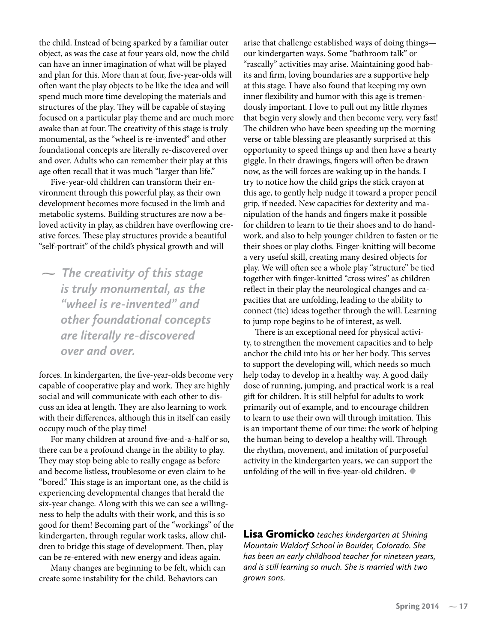the child. Instead of being sparked by a familiar outer object, as was the case at four years old, now the child can have an inner imagination of what will be played and plan for this. More than at four, five-year-olds will often want the play objects to be like the idea and will spend much more time developing the materials and structures of the play. They will be capable of staying focused on a particular play theme and are much more awake than at four. The creativity of this stage is truly monumental, as the "wheel is re-invented" and other foundational concepts are literally re-discovered over and over. Adults who can remember their play at this age often recall that it was much "larger than life."

Five-year-old children can transform their environment through this powerful play, as their own development becomes more focused in the limb and metabolic systems. Building structures are now a beloved activity in play, as children have overflowing creative forces. These play structures provide a beautiful "self-portrait" of the child's physical growth and will

 *The creativity of this stage is truly monumental, as the "wheel is re-invented" and other foundational concepts are literally re-discovered over and over.*

forces. In kindergarten, the five-year-olds become very capable of cooperative play and work. They are highly social and will communicate with each other to discuss an idea at length. They are also learning to work with their differences, although this in itself can easily occupy much of the play time!

For many children at around five-and-a-half or so, there can be a profound change in the ability to play. They may stop being able to really engage as before and become listless, troublesome or even claim to be "bored." This stage is an important one, as the child is experiencing developmental changes that herald the six-year change. Along with this we can see a willingness to help the adults with their work, and this is so good for them! Becoming part of the "workings" of the kindergarten, through regular work tasks, allow children to bridge this stage of development. Then, play can be re-entered with new energy and ideas again.

Many changes are beginning to be felt, which can create some instability for the child. Behaviors can

arise that challenge established ways of doing things our kindergarten ways. Some "bathroom talk" or "rascally" activities may arise. Maintaining good habits and firm, loving boundaries are a supportive help at this stage. I have also found that keeping my own inner flexibility and humor with this age is tremendously important. I love to pull out my little rhymes that begin very slowly and then become very, very fast! The children who have been speeding up the morning verse or table blessing are pleasantly surprised at this opportunity to speed things up and then have a hearty giggle. In their drawings, fingers will often be drawn now, as the will forces are waking up in the hands. I try to notice how the child grips the stick crayon at this age, to gently help nudge it toward a proper pencil grip, if needed. New capacities for dexterity and manipulation of the hands and fingers make it possible for children to learn to tie their shoes and to do handwork, and also to help younger children to fasten or tie their shoes or play cloths. Finger-knitting will become a very useful skill, creating many desired objects for play. We will often see a whole play "structure" be tied together with finger-knitted "cross wires" as children reflect in their play the neurological changes and capacities that are unfolding, leading to the ability to connect (tie) ideas together through the will. Learning to jump rope begins to be of interest, as well.

There is an exceptional need for physical activity, to strengthen the movement capacities and to help anchor the child into his or her her body. This serves to support the developing will, which needs so much help today to develop in a healthy way. A good daily dose of running, jumping, and practical work is a real gift for children. It is still helpful for adults to work primarily out of example, and to encourage children to learn to use their own will through imitation. This is an important theme of our time: the work of helping the human being to develop a healthy will. Through the rhythm, movement, and imitation of purposeful activity in the kindergarten years, we can support the unfolding of the will in five-year-old children. **•**

Lisa Gromicko *teaches kindergarten at Shining Mountain Waldorf School in Boulder, Colorado. She has been an early childhood teacher for nineteen years, and is still learning so much. She is married with two grown sons.*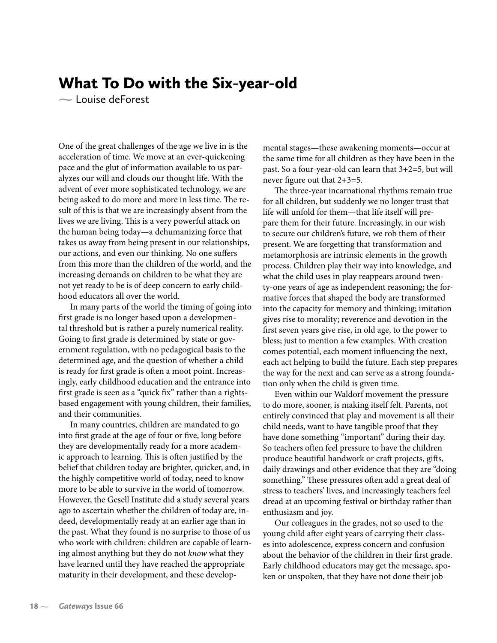## What To Do with the Six-year-old

Louise deForest

One of the great challenges of the age we live in is the acceleration of time. We move at an ever-quickening pace and the glut of information available to us paralyzes our will and clouds our thought life. With the advent of ever more sophisticated technology, we are being asked to do more and more in less time. The result of this is that we are increasingly absent from the lives we are living. This is a very powerful attack on the human being today—a dehumanizing force that takes us away from being present in our relationships, our actions, and even our thinking. No one suffers from this more than the children of the world, and the increasing demands on children to be what they are not yet ready to be is of deep concern to early childhood educators all over the world.

In many parts of the world the timing of going into first grade is no longer based upon a developmental threshold but is rather a purely numerical reality. Going to first grade is determined by state or government regulation, with no pedagogical basis to the determined age, and the question of whether a child is ready for first grade is often a moot point. Increasingly, early childhood education and the entrance into first grade is seen as a "quick fix" rather than a rightsbased engagement with young children, their families, and their communities.

In many countries, children are mandated to go into first grade at the age of four or five, long before they are developmentally ready for a more academic approach to learning. This is often justified by the belief that children today are brighter, quicker, and, in the highly competitive world of today, need to know more to be able to survive in the world of tomorrow. However, the Gesell Institute did a study several years ago to ascertain whether the children of today are, indeed, developmentally ready at an earlier age than in the past. What they found is no surprise to those of us who work with children: children are capable of learning almost anything but they do not *know* what they have learned until they have reached the appropriate maturity in their development, and these developmental stages—these awakening moments—occur at the same time for all children as they have been in the past. So a four-year-old can learn that 3+2=5, but will never figure out that 2+3=5.

The three-year incarnational rhythms remain true for all children, but suddenly we no longer trust that life will unfold for them—that life itself will prepare them for their future. Increasingly, in our wish to secure our children's future, we rob them of their present. We are forgetting that transformation and metamorphosis are intrinsic elements in the growth process. Children play their way into knowledge, and what the child uses in play reappears around twenty-one years of age as independent reasoning; the formative forces that shaped the body are transformed into the capacity for memory and thinking; imitation gives rise to morality; reverence and devotion in the first seven years give rise, in old age, to the power to bless; just to mention a few examples. With creation comes potential, each moment influencing the next, each act helping to build the future. Each step prepares the way for the next and can serve as a strong foundation only when the child is given time.

Even within our Waldorf movement the pressure to do more, sooner, is making itself felt. Parents, not entirely convinced that play and movement is all their child needs, want to have tangible proof that they have done something "important" during their day. So teachers often feel pressure to have the children produce beautiful handwork or craft projects, gifts, daily drawings and other evidence that they are "doing something." These pressures often add a great deal of stress to teachers' lives, and increasingly teachers feel dread at an upcoming festival or birthday rather than enthusiasm and joy.

Our colleagues in the grades, not so used to the young child after eight years of carrying their classes into adolescence, express concern and confusion about the behavior of the children in their first grade. Early childhood educators may get the message, spoken or unspoken, that they have not done their job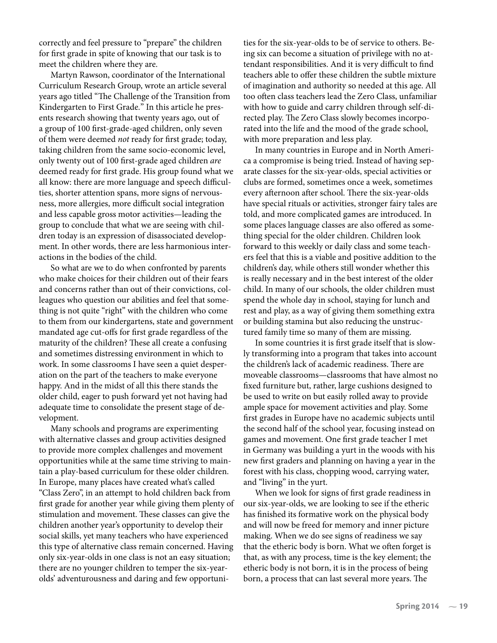correctly and feel pressure to "prepare" the children for first grade in spite of knowing that our task is to meet the children where they are.

Martyn Rawson, coordinator of the International Curriculum Research Group, wrote an article several years ago titled "The Challenge of the Transition from Kindergarten to First Grade*.*" In this article he presents research showing that twenty years ago, out of a group of 100 first-grade-aged children, only seven of them were deemed *not* ready for first grade; today, taking children from the same socio-economic level, only twenty out of 100 first-grade aged children *are* deemed ready for first grade. His group found what we all know: there are more language and speech difficulties, shorter attention spans, more signs of nervousness, more allergies, more difficult social integration and less capable gross motor activities—leading the group to conclude that what we are seeing with children today is an expression of disassociated development. In other words, there are less harmonious interactions in the bodies of the child.

So what are we to do when confronted by parents who make choices for their children out of their fears and concerns rather than out of their convictions, colleagues who question our abilities and feel that something is not quite "right" with the children who come to them from our kindergartens, state and government mandated age cut-offs for first grade regardless of the maturity of the children? These all create a confusing and sometimes distressing environment in which to work. In some classrooms I have seen a quiet desperation on the part of the teachers to make everyone happy. And in the midst of all this there stands the older child, eager to push forward yet not having had adequate time to consolidate the present stage of development.

Many schools and programs are experimenting with alternative classes and group activities designed to provide more complex challenges and movement opportunities while at the same time striving to maintain a play-based curriculum for these older children. In Europe, many places have created what's called "Class Zero", in an attempt to hold children back from first grade for another year while giving them plenty of stimulation and movement. These classes can give the children another year's opportunity to develop their social skills, yet many teachers who have experienced this type of alternative class remain concerned. Having only six-year-olds in one class is not an easy situation; there are no younger children to temper the six-yearolds' adventurousness and daring and few opportunities for the six-year-olds to be of service to others. Being six can become a situation of privilege with no attendant responsibilities. And it is very difficult to find teachers able to offer these children the subtle mixture of imagination and authority so needed at this age. All too often class teachers lead the Zero Class, unfamiliar with how to guide and carry children through self-directed play. The Zero Class slowly becomes incorporated into the life and the mood of the grade school, with more preparation and less play.

In many countries in Europe and in North America a compromise is being tried. Instead of having separate classes for the six-year-olds, special activities or clubs are formed, sometimes once a week, sometimes every afternoon after school. There the six-year-olds have special rituals or activities, stronger fairy tales are told, and more complicated games are introduced. In some places language classes are also offered as something special for the older children. Children look forward to this weekly or daily class and some teachers feel that this is a viable and positive addition to the children's day, while others still wonder whether this is really necessary and in the best interest of the older child. In many of our schools, the older children must spend the whole day in school, staying for lunch and rest and play, as a way of giving them something extra or building stamina but also reducing the unstructured family time so many of them are missing.

In some countries it is first grade itself that is slowly transforming into a program that takes into account the children's lack of academic readiness. There are moveable classrooms—classrooms that have almost no fixed furniture but, rather, large cushions designed to be used to write on but easily rolled away to provide ample space for movement activities and play. Some first grades in Europe have no academic subjects until the second half of the school year, focusing instead on games and movement. One first grade teacher I met in Germany was building a yurt in the woods with his new first graders and planning on having a year in the forest with his class, chopping wood, carrying water, and "living" in the yurt.

When we look for signs of first grade readiness in our six-year-olds, we are looking to see if the etheric has finished its formative work on the physical body and will now be freed for memory and inner picture making. When we do see signs of readiness we say that the etheric body is born. What we often forget is that, as with any process, time is the key element; the etheric body is not born, it is in the process of being born, a process that can last several more years. The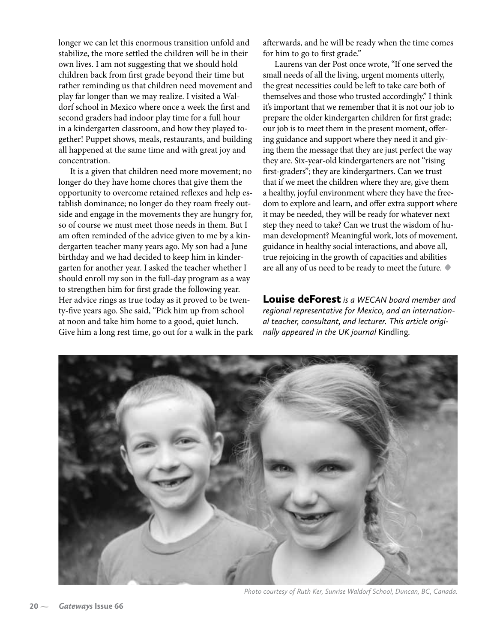longer we can let this enormous transition unfold and stabilize, the more settled the children will be in their own lives. I am not suggesting that we should hold children back from first grade beyond their time but rather reminding us that children need movement and play far longer than we may realize. I visited a Waldorf school in Mexico where once a week the first and second graders had indoor play time for a full hour in a kindergarten classroom, and how they played together! Puppet shows, meals, restaurants, and building all happened at the same time and with great joy and concentration.

It is a given that children need more movement; no longer do they have home chores that give them the opportunity to overcome retained reflexes and help establish dominance; no longer do they roam freely outside and engage in the movements they are hungry for, so of course we must meet those needs in them. But I am often reminded of the advice given to me by a kindergarten teacher many years ago. My son had a June birthday and we had decided to keep him in kindergarten for another year. I asked the teacher whether I should enroll my son in the full-day program as a way to strengthen him for first grade the following year. Her advice rings as true today as it proved to be twenty-five years ago. She said, "Pick him up from school at noon and take him home to a good, quiet lunch. Give him a long rest time, go out for a walk in the park afterwards, and he will be ready when the time comes for him to go to first grade."

Laurens van der Post once wrote, "If one served the small needs of all the living, urgent moments utterly, the great necessities could be left to take care both of themselves and those who trusted accordingly." I think it's important that we remember that it is not our job to prepare the older kindergarten children for first grade; our job is to meet them in the present moment, offering guidance and support where they need it and giving them the message that they are just perfect the way they are. Six-year-old kindergarteners are not "rising first-graders"; they are kindergartners. Can we trust that if we meet the children where they are, give them a healthy, joyful environment where they have the freedom to explore and learn, and offer extra support where it may be needed, they will be ready for whatever next step they need to take? Can we trust the wisdom of human development? Meaningful work, lots of movement, guidance in healthy social interactions, and above all, true rejoicing in the growth of capacities and abilities are all any of us need to be ready to meet the future. **•**

Louise deForest *is a WECAN board member and regional representative for Mexico, and an international teacher, consultant, and lecturer. This article originally appeared in the UK journal* Kindling*.*



*Photo courtesy of Ruth Ker, Sunrise Waldorf School, Duncan, BC, Canada.*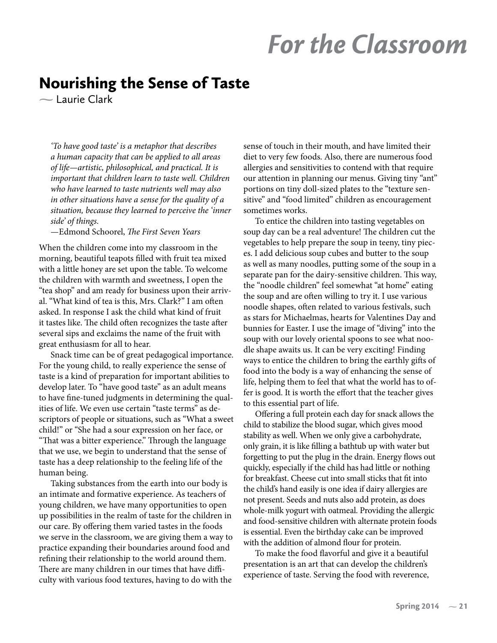# *For the Classroom*

## Nourishing the Sense of Taste

 $\sim$  Laurie Clark

*'To have good taste' is a metaphor that describes a human capacity that can be applied to all areas of life—artistic, philosophical, and practical. It is important that children learn to taste well. Children who have learned to taste nutrients well may also in other situations have a sense for the quality of a situation, because they learned to perceive the 'inner side' of things.*

—Edmond Schoorel, *The First Seven Years*

When the children come into my classroom in the morning, beautiful teapots filled with fruit tea mixed with a little honey are set upon the table. To welcome the children with warmth and sweetness, I open the "tea shop" and am ready for business upon their arrival. "What kind of tea is this, Mrs. Clark?" I am often asked. In response I ask the child what kind of fruit it tastes like. The child often recognizes the taste after several sips and exclaims the name of the fruit with great enthusiasm for all to hear.

Snack time can be of great pedagogical importance. For the young child, to really experience the sense of taste is a kind of preparation for important abilities to develop later. To "have good taste" as an adult means to have fine-tuned judgments in determining the qualities of life. We even use certain "taste terms" as descriptors of people or situations, such as "What a sweet child!" or "She had a sour expression on her face, or "That was a bitter experience." Through the language that we use, we begin to understand that the sense of taste has a deep relationship to the feeling life of the human being.

Taking substances from the earth into our body is an intimate and formative experience. As teachers of young children, we have many opportunities to open up possibilities in the realm of taste for the children in our care. By offering them varied tastes in the foods we serve in the classroom, we are giving them a way to practice expanding their boundaries around food and refining their relationship to the world around them. There are many children in our times that have difficulty with various food textures, having to do with the

sense of touch in their mouth, and have limited their diet to very few foods. Also, there are numerous food allergies and sensitivities to contend with that require our attention in planning our menus. Giving tiny "ant" portions on tiny doll-sized plates to the "texture sensitive" and "food limited" children as encouragement sometimes works.

To entice the children into tasting vegetables on soup day can be a real adventure! The children cut the vegetables to help prepare the soup in teeny, tiny pieces. I add delicious soup cubes and butter to the soup as well as many noodles, putting some of the soup in a separate pan for the dairy-sensitive children. This way, the "noodle children" feel somewhat "at home" eating the soup and are often willing to try it. I use various noodle shapes, often related to various festivals, such as stars for Michaelmas, hearts for Valentines Day and bunnies for Easter. I use the image of "diving" into the soup with our lovely oriental spoons to see what noodle shape awaits us. It can be very exciting! Finding ways to entice the children to bring the earthly gifts of food into the body is a way of enhancing the sense of life, helping them to feel that what the world has to offer is good. It is worth the effort that the teacher gives to this essential part of life.

Offering a full protein each day for snack allows the child to stabilize the blood sugar, which gives mood stability as well. When we only give a carbohydrate, only grain, it is like filling a bathtub up with water but forgetting to put the plug in the drain. Energy flows out quickly, especially if the child has had little or nothing for breakfast. Cheese cut into small sticks that fit into the child's hand easily is one idea if dairy allergies are not present. Seeds and nuts also add protein, as does whole-milk yogurt with oatmeal. Providing the allergic and food-sensitive children with alternate protein foods is essential. Even the birthday cake can be improved with the addition of almond flour for protein.

To make the food flavorful and give it a beautiful presentation is an art that can develop the children's experience of taste. Serving the food with reverence,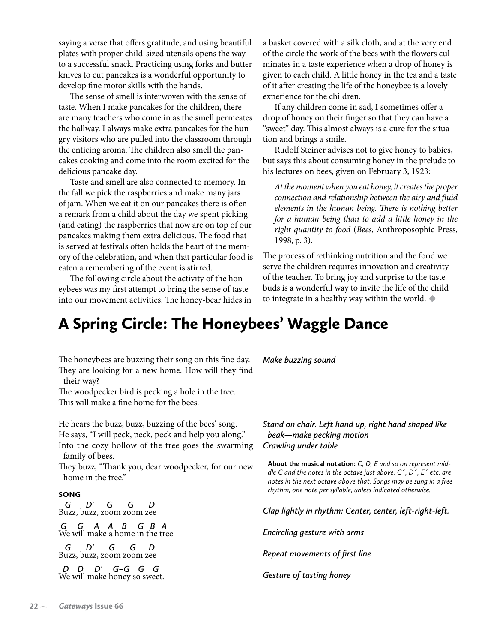saying a verse that offers gratitude, and using beautiful plates with proper child-sized utensils opens the way to a successful snack. Practicing using forks and butter knives to cut pancakes is a wonderful opportunity to develop fine motor skills with the hands.

The sense of smell is interwoven with the sense of taste. When I make pancakes for the children, there are many teachers who come in as the smell permeates the hallway. I always make extra pancakes for the hungry visitors who are pulled into the classroom through the enticing aroma. The children also smell the pancakes cooking and come into the room excited for the delicious pancake day.

Taste and smell are also connected to memory. In the fall we pick the raspberries and make many jars of jam. When we eat it on our pancakes there is often a remark from a child about the day we spent picking (and eating) the raspberries that now are on top of our pancakes making them extra delicious. The food that is served at festivals often holds the heart of the memory of the celebration, and when that particular food is eaten a remembering of the event is stirred.

The following circle about the activity of the honeybees was my first attempt to bring the sense of taste into our movement activities. The honey-bear hides in a basket covered with a silk cloth, and at the very end of the circle the work of the bees with the flowers culminates in a taste experience when a drop of honey is given to each child. A little honey in the tea and a taste of it after creating the life of the honeybee is a lovely experience for the children.

If any children come in sad, I sometimes offer a drop of honey on their finger so that they can have a "sweet" day. This almost always is a cure for the situation and brings a smile.

Rudolf Steiner advises not to give honey to babies, but says this about consuming honey in the prelude to his lectures on bees, given on February 3, 1923:

*At the moment when you eat honey, it creates the proper connection and relationship between the airy and fluid elements in the human being. There is nothing better for a human being than to add a little honey in the right quantity to food* (*Bees*, Anthroposophic Press, 1998, p. 3).

The process of rethinking nutrition and the food we serve the children requires innovation and creativity of the teacher. To bring joy and surprise to the taste buds is a wonderful way to invite the life of the child to integrate in a healthy way within the world. **•**

## A Spring Circle: The Honeybees' Waggle Dance

The honeybees are buzzing their song on this fine day. They are looking for a new home. How will they find

their way? The woodpecker bird is pecking a hole in the tree. This will make a fine home for the bees.

He hears the buzz, buzz, buzzing of the bees' song. He says, "I will peck, peck, peck and help you along." Into the cozy hollow of the tree goes the swarming family of bees.

They buzz, "Thank you, dear woodpecker, for our new home in the tree."

#### **SONG**

 *G D' G G D* Buzz, buzz, zoom zoom zee

 *G G A A B G B A*  We will make a home in the tree

 *G D' G G D* Buzz, buzz, zoom zoom zee

 *D D D' G–G G G*  We will make honey so sweet. *Make buzzing sound*

*Stand on chair. Left hand up, right hand shaped like beak—make pecking motion Crawling under table*

**About the musical notation:** *C, D, E and so on represent middle C and the notes in the octave just above. C´, D´, E´ etc. are notes in the next octave above that. Songs may be sung in a free rhythm, one note per syllable, unless indicated otherwise.*

*Clap lightly in rhythm: Center, center, left-right-left.*

*Encircling gesture with arms*

*Repeat movements of first line*

*Gesture of tasting honey*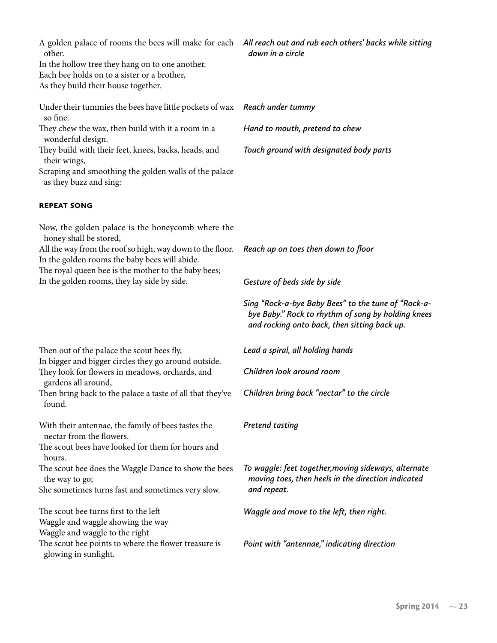| A golden palace of rooms the bees will make for each All reach out and rub each others' backs while sitting<br>other.<br>In the hollow tree they hang on to one another.<br>Each bee holds on to a sister or a brother,<br>As they build their house together. | down in a circle                                                                                                                                          |
|----------------------------------------------------------------------------------------------------------------------------------------------------------------------------------------------------------------------------------------------------------------|-----------------------------------------------------------------------------------------------------------------------------------------------------------|
| Under their tummies the bees have little pockets of wax                                                                                                                                                                                                        | Reach under tummy                                                                                                                                         |
| so fine.<br>They chew the wax, then build with it a room in a                                                                                                                                                                                                  | Hand to mouth, pretend to chew                                                                                                                            |
| wonderful design.<br>They build with their feet, knees, backs, heads, and<br>their wings,                                                                                                                                                                      | Touch ground with designated body parts                                                                                                                   |
| Scraping and smoothing the golden walls of the palace<br>as they buzz and sing:                                                                                                                                                                                |                                                                                                                                                           |
| <b>REPEAT SONG</b>                                                                                                                                                                                                                                             |                                                                                                                                                           |
| Now, the golden palace is the honeycomb where the                                                                                                                                                                                                              |                                                                                                                                                           |
| honey shall be stored,<br>All the way from the roof so high, way down to the floor.<br>In the golden rooms the baby bees will abide.<br>The royal queen bee is the mother to the baby bees;<br>In the golden rooms, they lay side by side.                     | Reach up on toes then down to floor                                                                                                                       |
|                                                                                                                                                                                                                                                                | Gesture of beds side by side                                                                                                                              |
|                                                                                                                                                                                                                                                                | Sing "Rock-a-bye Baby Bees" to the tune of "Rock-a-<br>bye Baby." Rock to rhythm of song by holding knees<br>and rocking onto back, then sitting back up. |
| Then out of the palace the scout bees fly,<br>In bigger and bigger circles they go around outside.<br>They look for flowers in meadows, orchards, and                                                                                                          | Lead a spiral, all holding hands                                                                                                                          |
|                                                                                                                                                                                                                                                                | Children look around room                                                                                                                                 |
| gardens all around,<br>Then bring back to the palace a taste of all that they've<br>found.                                                                                                                                                                     | Children bring back "nectar" to the circle                                                                                                                |
| With their antennae, the family of bees tastes the<br>nectar from the flowers.                                                                                                                                                                                 | <b>Pretend tasting</b>                                                                                                                                    |
| The scout bees have looked for them for hours and<br>hours.                                                                                                                                                                                                    |                                                                                                                                                           |
| The scout bee does the Waggle Dance to show the bees<br>the way to go;<br>She sometimes turns fast and sometimes very slow.                                                                                                                                    | To waggle: feet together, moving sideways, alternate<br>moving toes, then heels in the direction indicated<br>and repeat.                                 |
| The scout bee turns first to the left<br>Waggle and waggle showing the way<br>Waggle and waggle to the right                                                                                                                                                   | Waggle and move to the left, then right.                                                                                                                  |
| The scout bee points to where the flower treasure is<br>glowing in sunlight.                                                                                                                                                                                   | Point with "antennae," indicating direction                                                                                                               |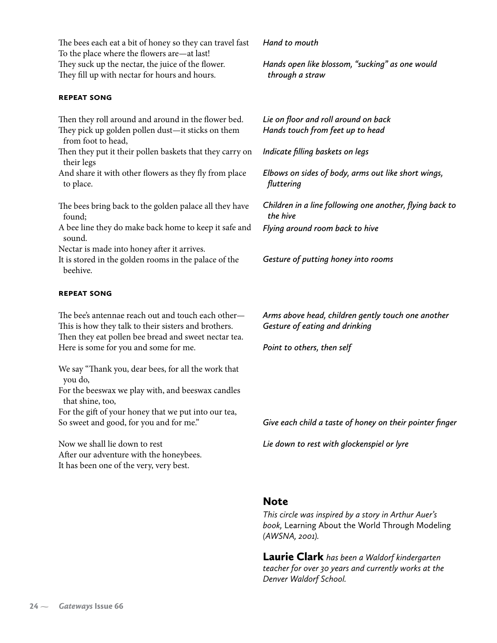The bees each eat a bit of honey so they can travel fast To the place where the flowers are—at last! They suck up the nectar, the juice of the flower. They fill up with nectar for hours and hours.

#### **repeat SONG**

#### Then they roll around and around in the flower bed. They pick up golden pollen dust—it sticks on them from foot to head, Then they put it their pollen baskets that they carry on their legs And share it with other flowers as they fly from place to place. The bees bring back to the golden palace all they have found; A bee line they do make back home to keep it safe and sound. Nectar is made into honey after it arrives. It is stored in the golden rooms in the palace of the beehive. **repeat SONG** *Lie on floor and roll around on back Hands touch from feet up to head Indicate filling baskets on legs Elbows on sides of body, arms out like short wings, fluttering Children in a line following one another, flying back to the hive Flying around room back to hive Gesture of putting honey into rooms*

*Hand to mouth*

*through a straw*

*Hands open like blossom, "sucking" as one would* 

The bee's antennae reach out and touch each other— This is how they talk to their sisters and brothers. Then they eat pollen bee bread and sweet nectar tea. Here is some for you and some for me.

We say "Thank you, dear bees, for all the work that you do,

For the beeswax we play with, and beeswax candles that shine, too,

For the gift of your honey that we put into our tea, So sweet and good, for you and for me."

Now we shall lie down to rest After our adventure with the honeybees. It has been one of the very, very best.

*Point to others, then self*

*Arms above head, children gently touch one another*

*Gesture of eating and drinking*

*Give each child a taste of honey on their pointer finger*

*Lie down to rest with glockenspiel or lyre*

#### Note

*This circle was inspired by a story in Arthur Auer's book,* Learning About the World Through Modeling *(AWSNA, 2001).*

Laurie Clark *has been a Waldorf kindergarten teacher for over 30 years and currently works at the Denver Waldorf School.*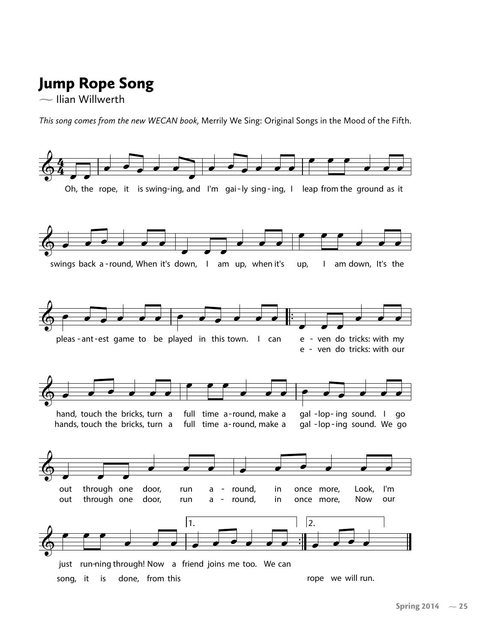## $\mathbf g$ Jump Rope Song

 $\sim$  Ilian Willwerth

*This song comes from the new WECAN book,* Merrily We Sing: Original Songs in the Mood of the Fifth.

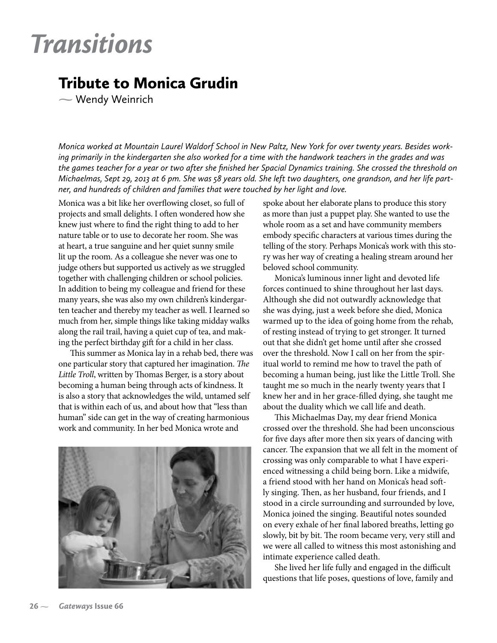# *Transitions*

## Tribute to Monica Grudin

Wendy Weinrich

*Monica worked at Mountain Laurel Waldorf School in New Paltz, New York for over twenty years. Besides working primarily in the kindergarten she also worked for a time with the handwork teachers in the grades and was the games teacher for a year or two after she finished her Spacial Dynamics training. She crossed the threshold on Michaelmas, Sept 29, 2013 at 6 pm. She was 58 years old. She left two daughters, one grandson, and her life partner, and hundreds of children and families that were touched by her light and love.* 

Monica was a bit like her overflowing closet, so full of projects and small delights. I often wondered how she knew just where to find the right thing to add to her nature table or to use to decorate her room. She was at heart, a true sanguine and her quiet sunny smile lit up the room. As a colleague she never was one to judge others but supported us actively as we struggled together with challenging children or school policies. In addition to being my colleague and friend for these many years, she was also my own children's kindergarten teacher and thereby my teacher as well. I learned so much from her, simple things like taking midday walks along the rail trail, having a quiet cup of tea, and making the perfect birthday gift for a child in her class.

This summer as Monica lay in a rehab bed, there was one particular story that captured her imagination. *The Little Troll*, written by Thomas Berger, is a story about becoming a human being through acts of kindness. It is also a story that acknowledges the wild, untamed self that is within each of us, and about how that "less than human" side can get in the way of creating harmonious work and community. In her bed Monica wrote and



spoke about her elaborate plans to produce this story as more than just a puppet play. She wanted to use the whole room as a set and have community members embody specific characters at various times during the telling of the story. Perhaps Monica's work with this story was her way of creating a healing stream around her beloved school community.

Monica's luminous inner light and devoted life forces continued to shine throughout her last days. Although she did not outwardly acknowledge that she was dying, just a week before she died, Monica warmed up to the idea of going home from the rehab, of resting instead of trying to get stronger. It turned out that she didn't get home until after she crossed over the threshold. Now I call on her from the spiritual world to remind me how to travel the path of becoming a human being, just like the Little Troll. She taught me so much in the nearly twenty years that I knew her and in her grace-filled dying, she taught me about the duality which we call life and death.

This Michaelmas Day, my dear friend Monica crossed over the threshold. She had been unconscious for five days after more then six years of dancing with cancer. The expansion that we all felt in the moment of crossing was only comparable to what I have experienced witnessing a child being born. Like a midwife, a friend stood with her hand on Monica's head softly singing. Then, as her husband, four friends, and I stood in a circle surrounding and surrounded by love, Monica joined the singing. Beautiful notes sounded on every exhale of her final labored breaths, letting go slowly, bit by bit. The room became very, very still and we were all called to witness this most astonishing and intimate experience called death.

She lived her life fully and engaged in the difficult questions that life poses, questions of love, family and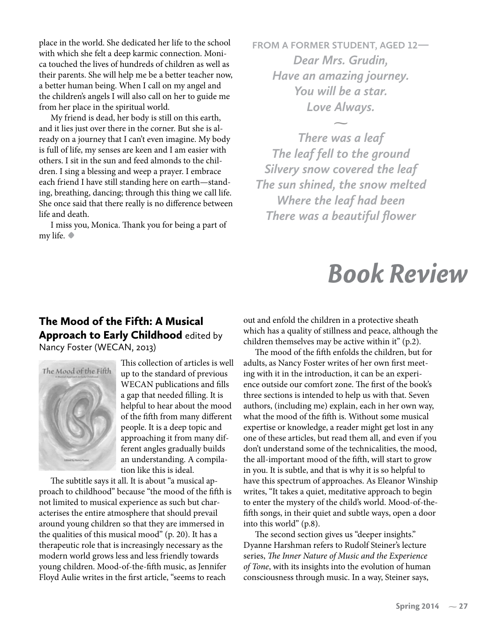place in the world. She dedicated her life to the school with which she felt a deep karmic connection. Monica touched the lives of hundreds of children as well as their parents. She will help me be a better teacher now, a better human being. When I call on my angel and the children's angels I will also call on her to guide me from her place in the spiritual world.

My friend is dead, her body is still on this earth, and it lies just over there in the corner. But she is already on a journey that I can't even imagine. My body is full of life, my senses are keen and I am easier with others. I sit in the sun and feed almonds to the children. I sing a blessing and weep a prayer. I embrace each friend I have still standing here on earth—standing, breathing, dancing; through this thing we call life. She once said that there really is no difference between life and death.

I miss you, Monica. Thank you for being a part of my life. **•**

**FROM A FORMER STUDENT, AGED 12***— Dear Mrs. Grudin, Have an amazing journey. You will be a star. Love Always.*

 $\overline{\phantom{0}}$ 

*There was a leaf The leaf fell to the ground Silvery snow covered the leaf The sun shined, the snow melted Where the leaf had been There was a beautiful flower*

## *Book Review*

#### The Mood of the Fifth: A Musical Approach to Early Childhood edited by Nancy Foster (WECAN, 2013)



This collection of articles is well up to the standard of previous WECAN publications and fills a gap that needed filling. It is helpful to hear about the mood of the fifth from many different people. It is a deep topic and approaching it from many different angles gradually builds an understanding. A compilation like this is ideal.

The subtitle says it all. It is about "a musical approach to childhood" because "the mood of the fifth is not limited to musical experience as such but characterises the entire atmosphere that should prevail around young children so that they are immersed in the qualities of this musical mood" (p. 20). It has a therapeutic role that is increasingly necessary as the modern world grows less and less friendly towards young children. Mood-of-the-fifth music, as Jennifer Floyd Aulie writes in the first article, "seems to reach

out and enfold the children in a protective sheath which has a quality of stillness and peace, although the children themselves may be active within it" (p.2).

The mood of the fifth enfolds the children, but for adults, as Nancy Foster writes of her own first meeting with it in the introduction, it can be an experience outside our comfort zone. The first of the book's three sections is intended to help us with that. Seven authors, (including me) explain, each in her own way, what the mood of the fifth is. Without some musical expertise or knowledge, a reader might get lost in any one of these articles, but read them all, and even if you don't understand some of the technicalities, the mood, the all-important mood of the fifth, will start to grow in you. It is subtle, and that is why it is so helpful to have this spectrum of approaches. As Eleanor Winship writes, "It takes a quiet, meditative approach to begin to enter the mystery of the child's world. Mood-of-thefifth songs, in their quiet and subtle ways, open a door into this world" (p.8).

The second section gives us "deeper insights." Dyanne Harshman refers to Rudolf Steiner's lecture series, *The Inner Nature of Music and the Experience of Tone*, with its insights into the evolution of human consciousness through music. In a way, Steiner says,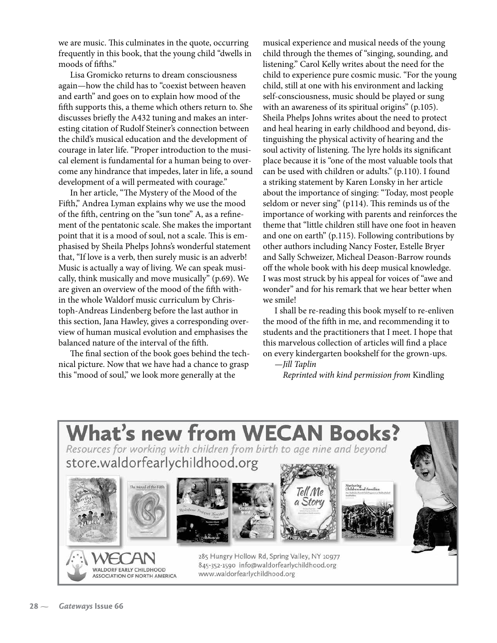we are music. This culminates in the quote, occurring frequently in this book, that the young child "dwells in moods of fifths."

Lisa Gromicko returns to dream consciousness again—how the child has to "coexist between heaven and earth" and goes on to explain how mood of the fifth supports this, a theme which others return to. She discusses briefly the A432 tuning and makes an interesting citation of Rudolf Steiner's connection between the child's musical education and the development of courage in later life. "Proper introduction to the musical element is fundamental for a human being to overcome any hindrance that impedes, later in life, a sound development of a will permeated with courage."

In her article, "The Mystery of the Mood of the Fifth," Andrea Lyman explains why we use the mood of the fifth, centring on the "sun tone" A, as a refinement of the pentatonic scale. She makes the important point that it is a mood of soul, not a scale. This is emphasised by Sheila Phelps Johns's wonderful statement that, "If love is a verb, then surely music is an adverb! Music is actually a way of living. We can speak musically, think musically and move musically" (p.69). We are given an overview of the mood of the fifth within the whole Waldorf music curriculum by Christoph-Andreas Lindenberg before the last author in this section, Jana Hawley, gives a corresponding overview of human musical evolution and emphasises the balanced nature of the interval of the fifth.

The final section of the book goes behind the technical picture. Now that we have had a chance to grasp this "mood of soul," we look more generally at the

musical experience and musical needs of the young child through the themes of "singing, sounding, and listening." Carol Kelly writes about the need for the child to experience pure cosmic music. "For the young child, still at one with his environment and lacking self-consciousness, music should be played or sung with an awareness of its spiritual origins" (p.105). Sheila Phelps Johns writes about the need to protect and heal hearing in early childhood and beyond, distinguishing the physical activity of hearing and the soul activity of listening. The lyre holds its significant place because it is "one of the most valuable tools that can be used with children or adults." (p.110). I found a striking statement by Karen Lonsky in her article about the importance of singing: "Today, most people seldom or never sing" (p114). This reminds us of the importance of working with parents and reinforces the theme that "little children still have one foot in heaven and one on earth" (p.115). Following contributions by other authors including Nancy Foster, Estelle Bryer and Sally Schweizer, Micheal Deason-Barrow rounds off the whole book with his deep musical knowledge. I was most struck by his appeal for voices of "awe and wonder" and for his remark that we hear better when we smile!

I shall be re-reading this book myself to re-enliven the mood of the fifth in me, and recommending it to students and the practitioners that I meet. I hope that this marvelous collection of articles will find a place on every kindergarten bookshelf for the grown-ups.

*—Jill Taplin*

 *Reprinted with kind permission from* Kindling